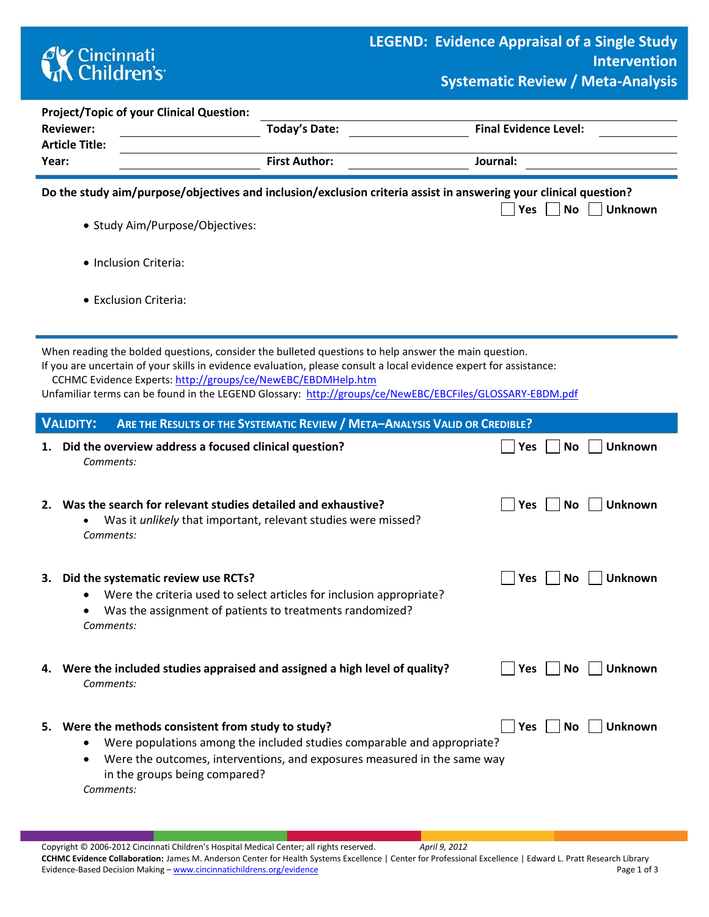# **CK** Cincinnati<br> **Children's**

r.

**Project/Topic of your Clinical Question:**

| <b>Reviewer:</b>               | <b>Today's Date:</b>                                                                                                                                                                                                                                                                                                                                                                                   | <b>Final Evidence Level:</b>       |
|--------------------------------|--------------------------------------------------------------------------------------------------------------------------------------------------------------------------------------------------------------------------------------------------------------------------------------------------------------------------------------------------------------------------------------------------------|------------------------------------|
| <b>Article Title:</b><br>Year: | <b>First Author:</b>                                                                                                                                                                                                                                                                                                                                                                                   | Journal:                           |
|                                | Do the study aim/purpose/objectives and inclusion/exclusion criteria assist in answering your clinical question?                                                                                                                                                                                                                                                                                       | <b>No</b><br><b>Unknown</b>        |
|                                | · Study Aim/Purpose/Objectives:                                                                                                                                                                                                                                                                                                                                                                        | Yes                                |
| • Inclusion Criteria:          |                                                                                                                                                                                                                                                                                                                                                                                                        |                                    |
| • Exclusion Criteria:          |                                                                                                                                                                                                                                                                                                                                                                                                        |                                    |
|                                | When reading the bolded questions, consider the bulleted questions to help answer the main question.<br>If you are uncertain of your skills in evidence evaluation, please consult a local evidence expert for assistance:<br>CCHMC Evidence Experts: http://groups/ce/NewEBC/EBDMHelp.htm<br>Unfamiliar terms can be found in the LEGEND Glossary: http://groups/ce/NewEBC/EBCFiles/GLOSSARY-EBDM.pdf |                                    |
| <b>VALIDITY:</b>               | <b>ARE THE RESULTS OF THE SYSTEMATIC REVIEW / META-ANALYSIS VALID OR CREDIBLE?</b>                                                                                                                                                                                                                                                                                                                     |                                    |
| 1.<br>Comments:                | Did the overview address a focused clinical question?                                                                                                                                                                                                                                                                                                                                                  | <b>Unknown</b><br><b>No</b><br>Yes |
| 2.<br>Comments:                | Was the search for relevant studies detailed and exhaustive?<br>Was it unlikely that important, relevant studies were missed?                                                                                                                                                                                                                                                                          | Yes<br><b>No</b><br><b>Unknown</b> |
| З.<br>Comments:                | Did the systematic review use RCTs?<br>Were the criteria used to select articles for inclusion appropriate?<br>Was the assignment of patients to treatments randomized?                                                                                                                                                                                                                                | <b>Unknown</b><br>Yes<br><b>No</b> |
| Comments:                      | 4. Were the included studies appraised and assigned a high level of quality?                                                                                                                                                                                                                                                                                                                           | <b>Unknown</b><br>Yes<br>No        |
| 5.<br>$\bullet$<br>Comments:   | Were the methods consistent from study to study?<br>Were populations among the included studies comparable and appropriate?<br>Were the outcomes, interventions, and exposures measured in the same way<br>in the groups being compared?                                                                                                                                                               | <b>Unknown</b><br>Yes<br><b>No</b> |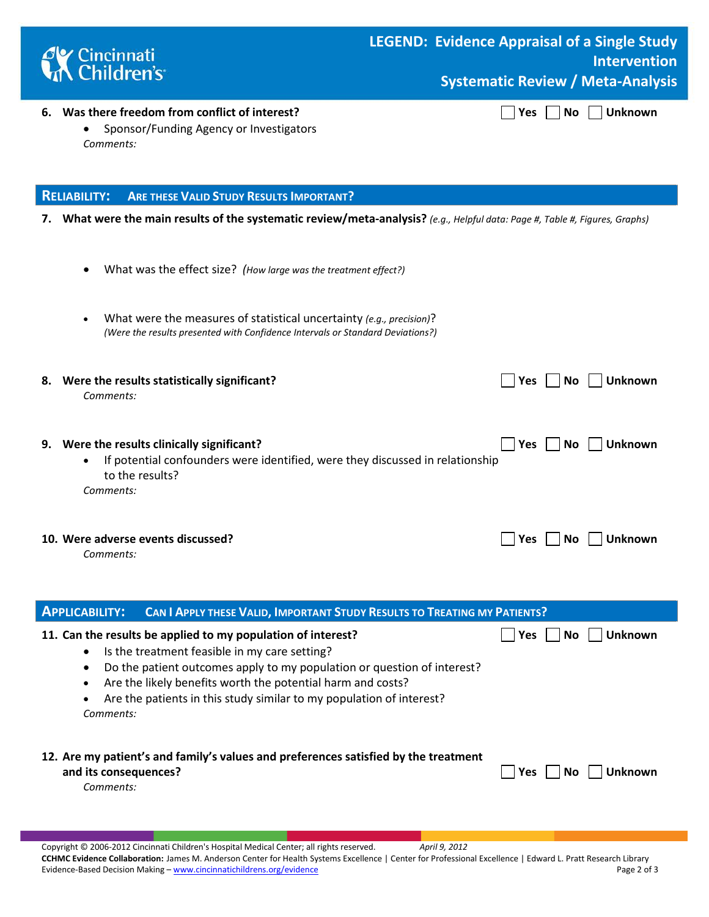

## **LEGEND: Evidence Appraisal of a Single Study Intervention Systematic Review / Meta-Analysis**

#### **6.** Was there freedom from conflict of interest? **Was No Was No William Was No Unknown**

• Sponsor/Funding Agency or Investigators *Comments:* 

### **RELIABILITY: ARE THESE VALID STUDY RESULTS IMPORTANT?**

- **7. What were the main results of the systematic review/meta-analysis?** *(e.g., Helpful data: Page #, Table #, Figures, Graphs)*
	- What was the effect size? *(How large was the treatment effect?)*
	- What were the measures of statistical uncertainty *(e.g., precision)*? *(Were the results presented with Confidence Intervals or Standard Deviations?)*
- **8.** Were the results statistically significant?  $\Box$  Yes  $\Box$  No  $\Box$  Unknown *Comments:*  **9.** Were the results clinically significant? **The results clinically significant?** All results of the structure of the structure of the structure of the structure of the structure of the structure of the structure of the
	- If potential confounders were identified, were they discussed in relationship to the results? *Comments:*
	- **10.** Were adverse events discussed? **All and South American Contract Contract Contract Only 10. Wes**  $\Box$  **No**  $\Box$  **Unknown** 
		- *Comments:*

| <b>APPLICABILITY:</b>              | <b>CAN I APPLY THESE VALID, IMPORTANT STUDY RESULTS TO TREATING MY PATIENTS?</b>                                                                                                                                                                                                                                                |                                     |
|------------------------------------|---------------------------------------------------------------------------------------------------------------------------------------------------------------------------------------------------------------------------------------------------------------------------------------------------------------------------------|-------------------------------------|
| Comments:                          | 11. Can the results be applied to my population of interest?<br>Is the treatment feasible in my care setting?<br>Do the patient outcomes apply to my population or question of interest?<br>Are the likely benefits worth the potential harm and costs?<br>Are the patients in this study similar to my population of interest? | <b>Unknown</b><br><b>Yes</b><br>No. |
| and its consequences?<br>Comments: | 12. Are my patient's and family's values and preferences satisfied by the treatment                                                                                                                                                                                                                                             | <b>Unknown</b><br>Yes.<br>No.       |